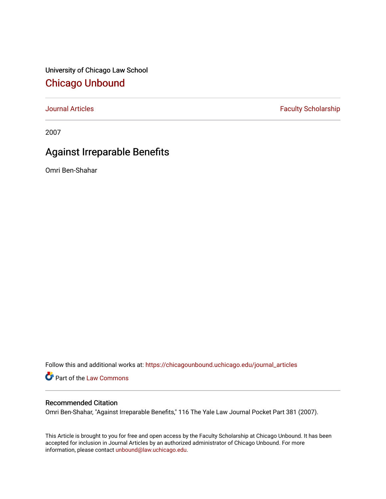University of Chicago Law School [Chicago Unbound](https://chicagounbound.uchicago.edu/)

[Journal Articles](https://chicagounbound.uchicago.edu/journal_articles) **Faculty Scholarship Faculty Scholarship** 

2007

# Against Irreparable Benefits

Omri Ben-Shahar

Follow this and additional works at: [https://chicagounbound.uchicago.edu/journal\\_articles](https://chicagounbound.uchicago.edu/journal_articles?utm_source=chicagounbound.uchicago.edu%2Fjournal_articles%2F42&utm_medium=PDF&utm_campaign=PDFCoverPages) 

Part of the [Law Commons](http://network.bepress.com/hgg/discipline/578?utm_source=chicagounbound.uchicago.edu%2Fjournal_articles%2F42&utm_medium=PDF&utm_campaign=PDFCoverPages)

### Recommended Citation

Omri Ben-Shahar, "Against Irreparable Benefits," 116 The Yale Law Journal Pocket Part 381 (2007).

This Article is brought to you for free and open access by the Faculty Scholarship at Chicago Unbound. It has been accepted for inclusion in Journal Articles by an authorized administrator of Chicago Unbound. For more information, please contact [unbound@law.uchicago.edu](mailto:unbound@law.uchicago.edu).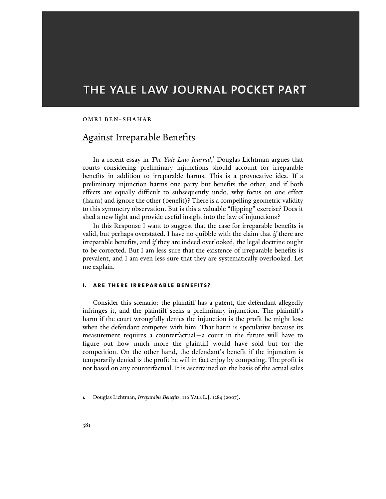## THE YALE LAW JOURNAL POCKET PART

### Omri Ben-Shahar

### Against Irreparable Benefits

In a recent essay in The Yale Law Journal,<sup>1</sup> Douglas Lichtman argues that courts considering preliminary injunctions should account for irreparable benefits in addition to irreparable harms. This is a provocative idea. If a preliminary injunction harms one party but benefits the other, and if both effects are equally difficult to subsequently undo, why focus on one effect (harm) and ignore the other (benefit)? There is a compelling geometric validity to this symmetry observation. But is this a valuable "flipping" exercise? Does it shed a new light and provide useful insight into the law of injunctions?

In this Response I want to suggest that the case for irreparable benefits is valid, but perhaps overstated. I have no quibble with the claim that  $if$  there are irreparable benefits, and if they are indeed overlooked, the legal doctrine ought to be corrected. But I am less sure that the existence of irreparable benefits is prevalent, and I am even less sure that they are systematically overlooked. Let me explain.

#### i. are there irreparable benefits?

Consider this scenario: the plaintiff has a patent, the defendant allegedly infringes it, and the plaintiff seeks a preliminary injunction. The plaintiff's harm if the court wrongfully denies the injunction is the profit he might lose when the defendant competes with him. That harm is speculative because its measurement requires a counterfactual—a court in the future will have to figure out how much more the plaintiff would have sold but for the competition. On the other hand, the defendant's benefit if the injunction is temporarily denied is the profit he will in fact enjoy by competing. The profit is not based on any counterfactual. It is ascertained on the basis of the actual sales

<sup>1.</sup> Douglas Lichtman, Irreparable Benefits, 116 YALE L.J. 1284 (2007).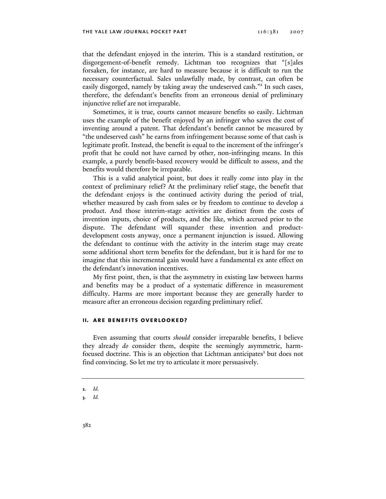that the defendant enjoyed in the interim. This is a standard restitution, or disgorgement-of-benefit remedy. Lichtman too recognizes that "[s]ales forsaken, for instance, are hard to measure because it is difficult to run the necessary counterfactual. Sales unlawfully made, by contrast, can often be easily disgorged, namely by taking away the undeserved cash."<sup>2</sup> In such cases, therefore, the defendant's benefits from an erroneous denial of preliminary injunctive relief are not irreparable.

Sometimes, it is true, courts cannot measure benefits so easily. Lichtman uses the example of the benefit enjoyed by an infringer who saves the cost of inventing around a patent. That defendant's benefit cannot be measured by "the undeserved cash" he earns from infringement because some of that cash is legitimate profit. Instead, the benefit is equal to the increment of the infringer's profit that he could not have earned by other, non-infringing means. In this example, a purely benefit-based recovery would be difficult to assess, and the benefits would therefore be irreparable.

This is a valid analytical point, but does it really come into play in the context of preliminary relief? At the preliminary relief stage, the benefit that the defendant enjoys is the continued activity during the period of trial, whether measured by cash from sales or by freedom to continue to develop a product. And those interim-stage activities are distinct from the costs of invention inputs, choice of products, and the like, which accrued prior to the dispute. The defendant will squander these invention and productdevelopment costs anyway, once a permanent injunction is issued. Allowing the defendant to continue with the activity in the interim stage may create some additional short term benefits for the defendant, but it is hard for me to imagine that this incremental gain would have a fundamental ex ante effect on the defendant's innovation incentives.

My first point, then, is that the asymmetry in existing law between harms and benefits may be a product of a systematic difference in measurement difficulty. Harms are more important because they are generally harder to measure after an erroneous decision regarding preliminary relief.

### ii. are benefits overlooked?

Even assuming that courts should consider irreparable benefits, I believe they already do consider them, despite the seemingly asymmetric, harmfocused doctrine. This is an objection that Lichtman anticipates<sup>3</sup> but does not find convincing. So let me try to articulate it more persuasively.

<sup>2.</sup> Id.

<sup>3.</sup> Id.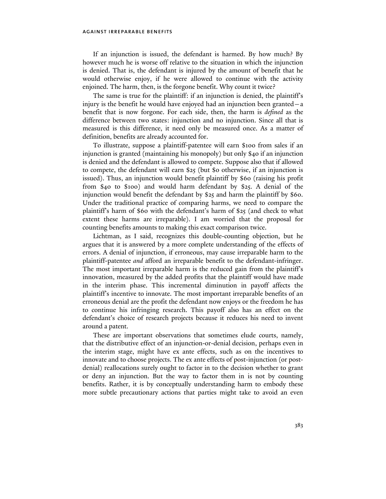#### against irreparable benefits

If an injunction is issued, the defendant is harmed. By how much? By however much he is worse off relative to the situation in which the injunction is denied. That is, the defendant is injured by the amount of benefit that he would otherwise enjoy, if he were allowed to continue with the activity enjoined. The harm, then, is the forgone benefit. Why count it twice?

The same is true for the plaintiff: if an injunction is denied, the plaintiff's injury is the benefit he would have enjoyed had an injunction been granted—a benefit that is now forgone. For each side, then, the harm is defined as the difference between two states: injunction and no injunction. Since all that is measured is this difference, it need only be measured once. As a matter of definition, benefits are already accounted for.

To illustrate, suppose a plaintiff-patentee will earn \$100 from sales if an injunction is granted (maintaining his monopoly) but only \$40 if an injunction is denied and the defendant is allowed to compete. Suppose also that if allowed to compete, the defendant will earn \$25 (but \$0 otherwise, if an injunction is issued). Thus, an injunction would benefit plaintiff by \$60 (raising his profit from \$40 to \$100) and would harm defendant by \$25. A denial of the injunction would benefit the defendant by \$25 and harm the plaintiff by \$60. Under the traditional practice of comparing harms, we need to compare the plaintiff's harm of \$60 with the defendant's harm of \$25 (and check to what extent these harms are irreparable). I am worried that the proposal for counting benefits amounts to making this exact comparison twice.

Lichtman, as I said, recognizes this double-counting objection, but he argues that it is answered by a more complete understanding of the effects of errors. A denial of injunction, if erroneous, may cause irreparable harm to the plaintiff-patentee and afford an irreparable benefit to the defendant-infringer. The most important irreparable harm is the reduced gain from the plaintiff's innovation, measured by the added profits that the plaintiff would have made in the interim phase. This incremental diminution in payoff affects the plaintiff's incentive to innovate. The most important irreparable benefits of an erroneous denial are the profit the defendant now enjoys or the freedom he has to continue his infringing research. This payoff also has an effect on the defendant's choice of research projects because it reduces his need to invent around a patent.

These are important observations that sometimes elude courts, namely, that the distributive effect of an injunction-or-denial decision, perhaps even in the interim stage, might have ex ante effects, such as on the incentives to innovate and to choose projects. The ex ante effects of post-injunction (or postdenial) reallocations surely ought to factor in to the decision whether to grant or deny an injunction. But the way to factor them in is not by counting benefits. Rather, it is by conceptually understanding harm to embody these more subtle precautionary actions that parties might take to avoid an even